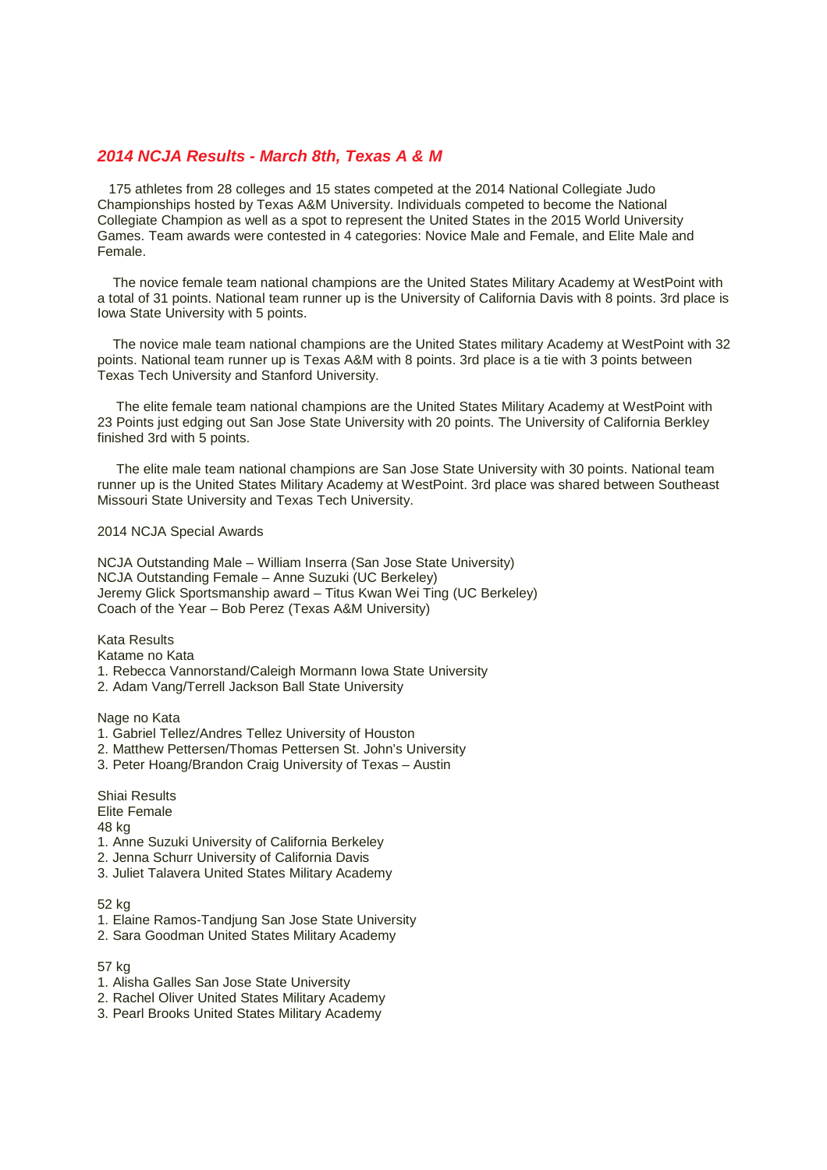# **2014 NCJA Results - March 8th, Texas A & M**

 175 athletes from 28 colleges and 15 states competed at the 2014 National Collegiate Judo Championships hosted by Texas A&M University. Individuals competed to become the National Collegiate Champion as well as a spot to represent the United States in the 2015 World University Games. Team awards were contested in 4 categories: Novice Male and Female, and Elite Male and Female.

 The novice female team national champions are the United States Military Academy at WestPoint with a total of 31 points. National team runner up is the University of California Davis with 8 points. 3rd place is Iowa State University with 5 points.

 The novice male team national champions are the United States military Academy at WestPoint with 32 points. National team runner up is Texas A&M with 8 points. 3rd place is a tie with 3 points between Texas Tech University and Stanford University.

 The elite female team national champions are the United States Military Academy at WestPoint with 23 Points just edging out San Jose State University with 20 points. The University of California Berkley finished 3rd with 5 points.

 The elite male team national champions are San Jose State University with 30 points. National team runner up is the United States Military Academy at WestPoint. 3rd place was shared between Southeast Missouri State University and Texas Tech University.

### 2014 NCJA Special Awards

NCJA Outstanding Male – William Inserra (San Jose State University) NCJA Outstanding Female – Anne Suzuki (UC Berkeley) Jeremy Glick Sportsmanship award – Titus Kwan Wei Ting (UC Berkeley) Coach of the Year – Bob Perez (Texas A&M University)

Kata Results Katame no Kata

- 1. Rebecca Vannorstand/Caleigh Mormann Iowa State University
- 2. Adam Vang/Terrell Jackson Ball State University

Nage no Kata

- 1. Gabriel Tellez/Andres Tellez University of Houston
- 2. Matthew Pettersen/Thomas Pettersen St. John's University
- 3. Peter Hoang/Brandon Craig University of Texas Austin

Shiai Results Elite Female

48 kg

- 1. Anne Suzuki University of California Berkeley
- 2. Jenna Schurr University of California Davis
- 3. Juliet Talavera United States Military Academy

#### 52 kg

- 1. Elaine Ramos-Tandjung San Jose State University
- 2. Sara Goodman United States Military Academy

#### 57 kg

- 1. Alisha Galles San Jose State University
- 2. Rachel Oliver United States Military Academy
- 3. Pearl Brooks United States Military Academy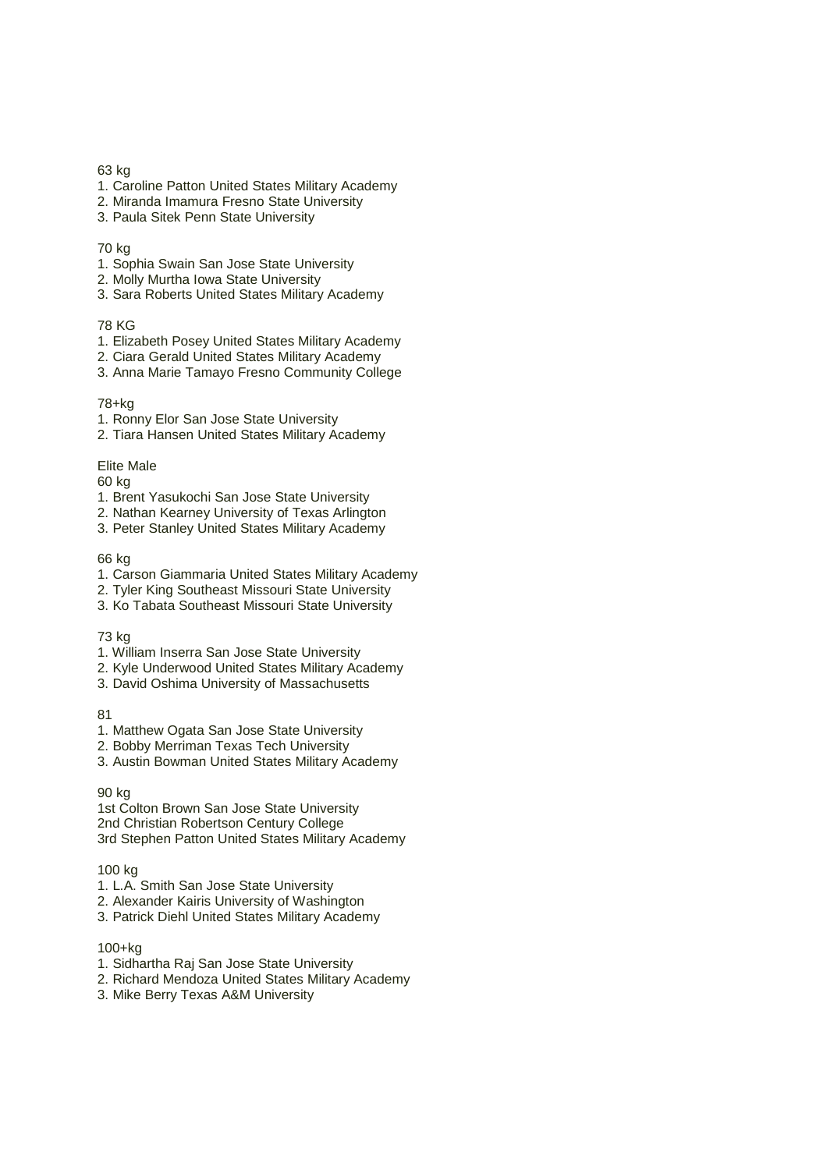## 63 kg

- 1. Caroline Patton United States Military Academy
- 2. Miranda Imamura Fresno State University
- 3. Paula Sitek Penn State University

#### 70 kg

- 1. Sophia Swain San Jose State University
- 2. Molly Murtha Iowa State University
- 3. Sara Roberts United States Military Academy

# 78 KG

- 1. Elizabeth Posey United States Military Academy
- 2. Ciara Gerald United States Military Academy
- 3. Anna Marie Tamayo Fresno Community College

### 78+kg

- 1. Ronny Elor San Jose State University
- 2. Tiara Hansen United States Military Academy

### Elite Male

60 kg

- 1. Brent Yasukochi San Jose State University
- 2. Nathan Kearney University of Texas Arlington
- 3. Peter Stanley United States Military Academy

### 66 kg

- 1. Carson Giammaria United States Military Academy
- 2. Tyler King Southeast Missouri State University
- 3. Ko Tabata Southeast Missouri State University

# 73 kg

- 1. William Inserra San Jose State University
- 2. Kyle Underwood United States Military Academy
- 3. David Oshima University of Massachusetts

#### 81

- 1. Matthew Ogata San Jose State University
- 2. Bobby Merriman Texas Tech University
- 3. Austin Bowman United States Military Academy

# 90 kg

1st Colton Brown San Jose State University 2nd Christian Robertson Century College 3rd Stephen Patton United States Military Academy

#### 100 kg

- 1. L.A. Smith San Jose State University
- 2. Alexander Kairis University of Washington
- 3. Patrick Diehl United States Military Academy

# 100+kg

- 1. Sidhartha Raj San Jose State University
- 2. Richard Mendoza United States Military Academy
- 3. Mike Berry Texas A&M University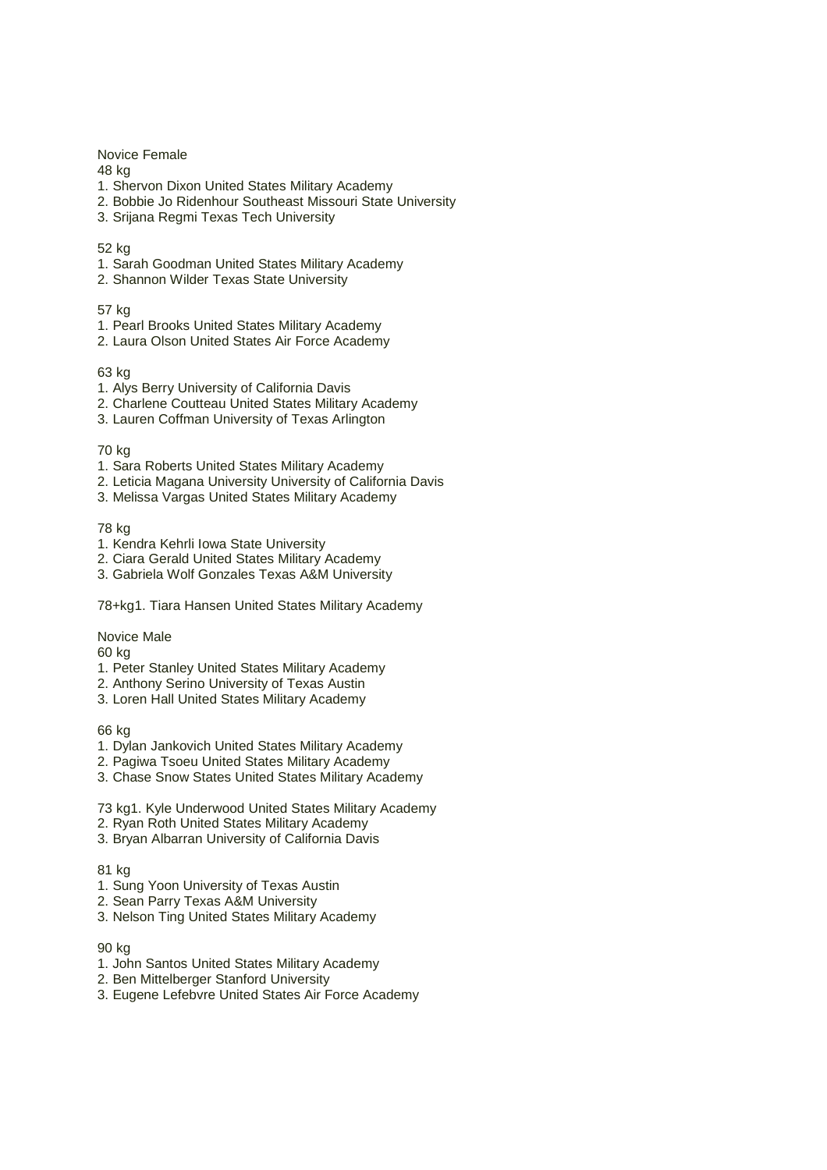Novice Female

48 kg

- 1. Shervon Dixon United States Military Academy
- 2. Bobbie Jo Ridenhour Southeast Missouri State University
- 3. Srijana Regmi Texas Tech University

## 52 kg

- 1. Sarah Goodman United States Military Academy
- 2. Shannon Wilder Texas State University

57 kg

- 1. Pearl Brooks United States Military Academy
- 2. Laura Olson United States Air Force Academy

63 kg

- 1. Alys Berry University of California Davis
- 2. Charlene Coutteau United States Military Academy
- 3. Lauren Coffman University of Texas Arlington

## 70 kg

- 1. Sara Roberts United States Military Academy
- 2. Leticia Magana University University of California Davis
- 3. Melissa Vargas United States Military Academy

78 kg

- 1. Kendra Kehrli Iowa State University
- 2. Ciara Gerald United States Military Academy
- 3. Gabriela Wolf Gonzales Texas A&M University

78+kg1. Tiara Hansen United States Military Academy

Novice Male

60 kg

- 1. Peter Stanley United States Military Academy
- 2. Anthony Serino University of Texas Austin
- 3. Loren Hall United States Military Academy

66 kg

- 1. Dylan Jankovich United States Military Academy
- 2. Pagiwa Tsoeu United States Military Academy
- 3. Chase Snow States United States Military Academy
- 73 kg1. Kyle Underwood United States Military Academy
- 2. Ryan Roth United States Military Academy
- 3. Bryan Albarran University of California Davis

81 kg

- 1. Sung Yoon University of Texas Austin
- 2. Sean Parry Texas A&M University
- 3. Nelson Ting United States Military Academy

90 kg

- 1. John Santos United States Military Academy
- 2. Ben Mittelberger Stanford University
- 3. Eugene Lefebvre United States Air Force Academy